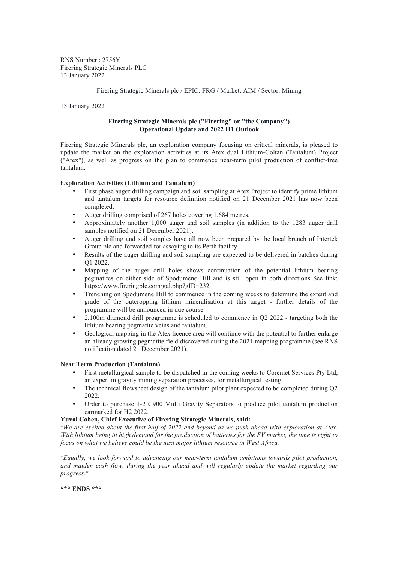RNS Number : 2756Y Firering Strategic Minerals PLC 13 January 2022

### Firering Strategic Minerals plc / EPIC: FRG / Market: AIM / Sector: Mining

13 January 2022

## **Firering Strategic Minerals plc ("Firering" or "the Company") Operational Update and 2022 H1 Outlook**

Firering Strategic Minerals plc, an exploration company focusing on critical minerals, is pleased to update the market on the exploration activities at its Atex dual Lithium-Coltan (Tantalum) Project ("Atex"), as well as progress on the plan to commence near-term pilot production of conflict-free tantalum.

## **Exploration Activities (Lithium and Tantalum)**

- First phase auger drilling campaign and soil sampling at Atex Project to identify prime lithium and tantalum targets for resource definition notified on 21 December 2021 has now been completed:
- Auger drilling comprised of 267 holes covering 1,684 metres.
- Approximately another 1,000 auger and soil samples (in addition to the 1283 auger drill samples notified on 21 December 2021).
- Auger drilling and soil samples have all now been prepared by the local branch of Intertek Group plc and forwarded for assaying to its Perth facility.
- Results of the auger drilling and soil sampling are expected to be delivered in batches during Q1 2022.
- Mapping of the auger drill holes shows continuation of the potential lithium bearing pegmatites on either side of Spodumene Hill and is still open in both directions See link: https://www.fireringplc.com/gal.php?gID=232
- Trenching on Spodumene Hill to commence in the coming weeks to determine the extent and grade of the outcropping lithium mineralisation at this target - further details of the programme will be announced in due course.
- 2,100m diamond drill programme is scheduled to commence in Q2 2022 targeting both the lithium bearing pegmatite veins and tantalum.
- Geological mapping in the Atex licence area will continue with the potential to further enlarge an already growing pegmatite field discovered during the 2021 mapping programme (see RNS notification dated 21 December 2021).

# **Near Term Production (Tantalum)**

- First metallurgical sample to be dispatched in the coming weeks to Coremet Services Pty Ltd, an expert in gravity mining separation processes, for metallurgical testing.
- The technical flowsheet design of the tantalum pilot plant expected to be completed during Q2 2022.
- Order to purchase 1-2 C900 Multi Gravity Separators to produce pilot tantalum production earmarked for H2 2022.

#### **Yuval Cohen, Chief Executive of Firering Strategic Minerals, said:**

*"We are excited about the first half of 2022 and beyond as we push ahead with exploration at Atex. With lithium being in high demand for the production of batteries for the EV market, the time is right to focus on what we believe could be the next major lithium resource in West Africa.*

*"Equally, we look forward to advancing our near-term tantalum ambitions towards pilot production, and maiden cash flow, during the year ahead and will regularly update the market regarding our progress."* 

**\*\*\* ENDS \*\*\***